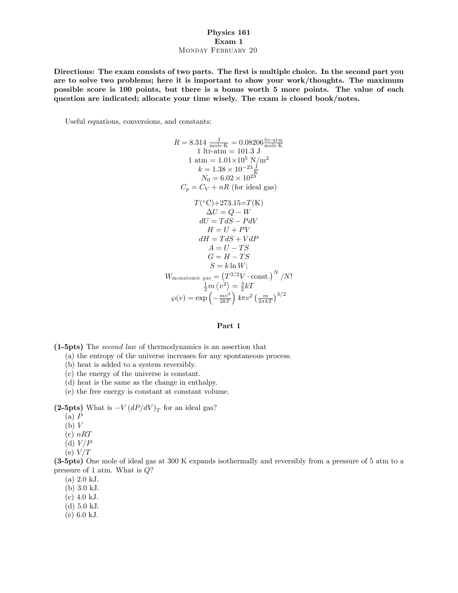## Physics 161 Exam 1 MONDAY FEBRUARY 20

Directions: The exam consists of two parts. The first is multiple choice. In the second part you are to solve two problems; here it is important to show your work/thoughts. The maximum possible score is 100 points, but there is a bonus worth 5 more points. The value of each question are indicated; allocate your time wisely. The exam is closed book/notes.

Useful equations, conversions, and constants:

$$
R = 8.314 \frac{J}{\text{mole-K}} = 0.08206 \frac{\text{itr-atm}}{\text{mole-K}}
$$
  
\n1 ltr-atm = 101.3 J  
\n1 atm = 1.01×10<sup>5</sup> N/m<sup>2</sup>  
\n $k = 1.38 \times 10^{-23} \frac{J}{K}$   
\n $N_0 = 6.02 \times 10^{23}$   
\n $C_p = C_V + nR$  (for ideal gas)  
\n $T(^{\circ}C) + 273.15 = T(K)$   
\n $\Delta U = Q - W$   
\n $dU = TdS - PdV$   
\n $H = U + PV$   
\n $dH = TdS + VdP$   
\n $A = U - TS$   
\n $G = H - TS$   
\n $S = k \ln W$ ;  
\n $W_{\text{monatomic gas}} = (T^{3/2}V \cdot \text{const.})^N / N!$   
\n $\frac{1}{2}m \langle v^2 \rangle = \frac{3}{2}kT$   
\n $\wp(v) = \exp(-\frac{mv^2}{2kT}) 4\pi v^2 (\frac{m}{2\pi kT})^{3/2}$ 

## Part 1

(1-5pts) The second law of thermodynamics is an assertion that

- (a) the entropy of the universe increases for any spontaneous process.
- (b) heat is added to a system reversibly.
- (c) the energy of the universe is constant.
- (d) heat is the same as the change in enthalpy.
- (e) the free energy is constant at constant volume.

(2-5pts) What is  $-V \left( \frac{dP}{dV} \right)_T$  for an ideal gas?

- $(a)$   $P$
- $(b)$  V
- $(c)$   $nRT$
- (d)  $V/P$
- $(e) V/T$

(3-5pts) One mole of ideal gas at 300 K expands isothermally and reversibly from a pressure of 5 atm to a pressure of 1 atm. What is  $Q$ ?

- $(a) 2.0 kJ.$
- (b) 3:0 kJ.
- $(c)$  4.0 kJ.
- $(d)$  5.0 kJ.
- (e) 6:0 kJ.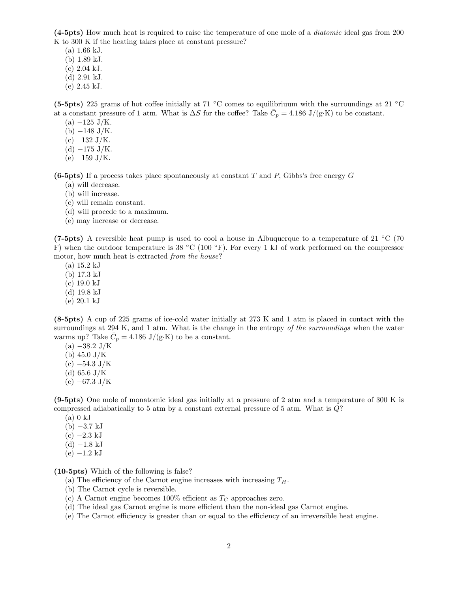(4-5pts) How much heat is required to raise the temperature of one mole of a diatomic ideal gas from 200 K to 300 K if the heating takes place at constant pressure?

 $(a)$  1.66 kJ.

(b) 1:89 kJ.

 $(c)$  2.04 kJ.

- (d) 2:91 kJ.
- $(e)$  2.45 kJ.

(5-5pts) 225 grams of hot coffee initially at 71 °C comes to equilibriuum with the surroundings at 21 °C at a constant pressure of 1 atm. What is  $\Delta S$  for the coffee? Take  $\overline{C}_p = 4.186 \text{ J/(g·K)}$  to be constant.

- $(a) -125$  J/K.
- $(b) -148$  J/K.
- (c)  $132 \text{ J/K}.$
- (d)  $-175 \text{ J/K}.$
- (e)  $159 \text{ J/K}.$

(6-5pts) If a process takes place spontaneously at constant T and P, Gibbs's free energy G

- (a) will decrease.
- (b) will increase.
- (c) will remain constant.
- (d) will procede to a maximum.
- (e) may increase or decrease.

(7-5pts) A reversible heat pump is used to cool a house in Albuquerque to a temperature of 21  $\degree$ C (70 F) when the outdoor temperature is 38 °C (100 °F). For every 1 kJ of work performed on the compressor motor, how much heat is extracted from the house?

- $(a) 15.2 kJ$
- (b) 17:3 kJ
- $(c) 19.0 kJ$
- (d) 19:8 kJ
- $(e) 20.1 kJ$

(8-5pts) A cup of 225 grams of ice-cold water initially at 273 K and 1 atm is placed in contact with the surroundings at 294 K, and 1 atm. What is the change in the entropy of the surroundings when the water warms up? Take  $\bar{C}_p = 4.186 \text{ J/(g-K)}$  to be a constant.

- $(a) -38.2 \text{ J/K}$
- (b)  $45.0 \text{ J/K}$
- $(c) -54.3$  J/K
- (d) 65.6 J/K
- (e)  $-67.3 \text{ J/K}$

(9-5pts) One mole of monatomic ideal gas initially at a pressure of 2 atm and a temperature of 300 K is compressed adiabatically to 5 atm by a constant external pressure of 5 atm. What is Q?

- $(a)$  0 kJ
- $(b) -3.7 kJ$
- $(c) -2.3$  kJ
- $(d) -1.8$  kJ
- $(e) -1.2 kJ$

(10-5pts) Which of the following is false?

- (a) The efficiency of the Carnot engine increases with increasing  $T_H$ .
- (b) The Carnot cycle is reversible.
- (c) A Carnot engine becomes 100% efficient as  $T<sub>C</sub>$  approaches zero.
- (d) The ideal gas Carnot engine is more efficient than the non-ideal gas Carnot engine.
- $(e)$  The Carnot efficiency is greater than or equal to the efficiency of an irreversible heat engine.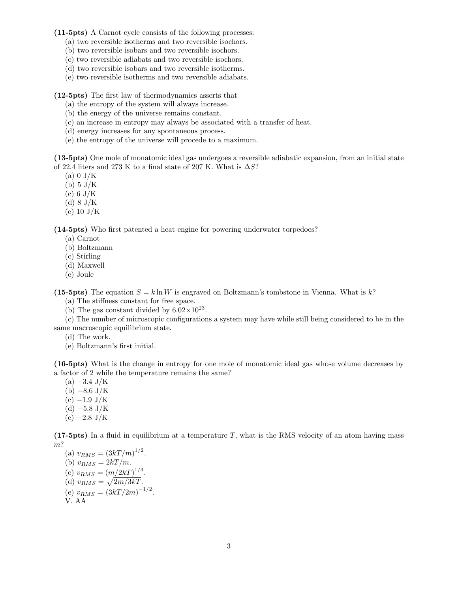(11-5pts) A Carnot cycle consists of the following processes:

- (a) two reversible isotherms and two reversible isochors.
- (b) two reversible isobars and two reversible isochors.
- (c) two reversible adiabats and two reversible isochors.
- (d) two reversible isobars and two reversible isotherms.
- (e) two reversible isotherms and two reversible adiabats.

(12-5pts) The Örst law of thermodynamics asserts that

- (a) the entropy of the system will always increase.
- (b) the energy of the universe remains constant.
- (c) an increase in entropy may always be associated with a transfer of heat.
- (d) energy increases for any spontaneous process.
- (e) the entropy of the universe will procede to a maximum.

(13-5pts) One mole of monatomic ideal gas undergoes a reversible adiabatic expansion, from an initial state of 22.4 liters and 273 K to a final state of 207 K. What is  $\Delta S$ ?

- $(a)$  0 J/K
- (b) 5 J/K
- $(c)$  6 J/K
- $(d)$  8 J/K
- $(e)$  10 J/K

(14-5pts) Who Örst patented a heat engine for powering underwater torpedoes?

- (a) Carnot
- (b) Boltzmann
- (c) Stirling
- (d) Maxwell
- (e) Joule

(15-5pts) The equation  $S = k \ln W$  is engraved on Boltzmann's tombstone in Vienna. What is k?

- (a) The stiffness constant for free space.
- (b) The gas constant divided by  $6.02 \times 10^{23}$ .

 $(c)$  The number of microscopic configurations a system may have while still being considered to be in the same macroscopic equilibrium state.

- (d) The work.
- (e) Boltzmann's first initial.

(16-5pts) What is the change in entropy for one mole of monatomic ideal gas whose volume decreases by a factor of 2 while the temperature remains the same?

- $(a) -3.4$  J/K
- (b)  $-8.6 \text{ J/K}$
- $(c) -1.9 \text{ J/K}$
- (d)  $-5.8 \text{ J/K}$
- $(e) -2.8 \text{ J/K}$

(17-5pts) In a fluid in equilibrium at a temperature  $T$ , what is the RMS velocity of an atom having mass m?

(a)  $v_{RMS} = (3kT/m)^{1/2}$ . (b)  $v_{RMS} = 2kT/m$ . (c)  $v_{RMS} = (m/2kT)^{1/3}$ . (d)  $v_{RMS} = \sqrt{2m/3kT}$ . (e)  $v_{RMS} = (3kT/2m)^{-1/2}$ . V. AA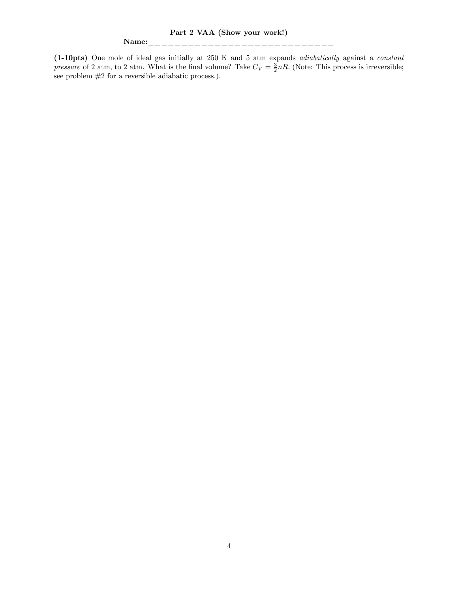Part 2 VAA (Show your work!)

## Name:\_\_\_\_\_\_\_\_\_\_\_\_\_\_\_\_\_\_\_\_\_\_\_\_\_\_\_\_

(1-10pts) One mole of ideal gas initially at 250 K and 5 atm expands adiabatically against a constant pressure of 2 atm, to 2 atm. What is the final volume? Take  $C_V = \frac{3}{2}nR$ . (Note: This process is irreversible; see problem #2 for a reversible adiabatic process.):